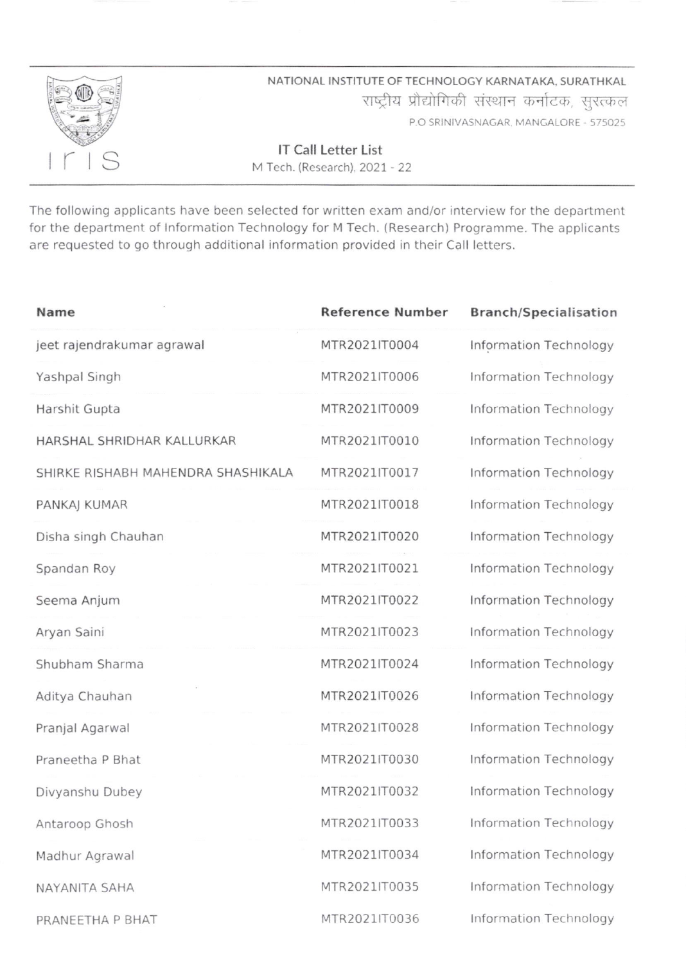

NATIONAL INSTITUTE OF TECHNOLOGY KARNATAKA. SURATHKAL राष्ट्रीय प्रौद्योगिकी संस्थान कर्नाटक, सुरत्कल P,O SRINIVASNAGAR MANGALORE . 575025

lT Call Letter List M Tech. (Research).2027 - 22

The following applicants have been selected for written exam and/or interview for the department for the department of lnformation Technology for M Tech. (Research) Programme. The applicants are requested to go through additional information provided in their Call letters.

| Name                               | <b>Reference Number</b> | <b>Branch/Specialisation</b> |
|------------------------------------|-------------------------|------------------------------|
| jeet rajendrakumar agrawal         | MTR2021IT0004           | Information Technology       |
| Yashpal Singh                      | MTR2021IT0006           | Information Technology       |
| Harshit Gupta                      | MTR2021IT0009           | Information Technology       |
| HARSHAL SHRIDHAR KALLURKAR         | MTR2021IT0010           | Information Technology       |
| SHIRKE RISHABH MAHENDRA SHASHIKALA | MTR2021IT0017           | Information Technology       |
| PANKAJ KUMAR                       | MTR2021IT0018           | Information Technology       |
| Disha singh Chauhan                | MTR2021IT0020           | Information Technology       |
| Spandan Roy                        | MTR2021IT0021           | Information Technology       |
| Seema Anjum                        | MTR2021IT0022           | Information Technology       |
| Aryan Saini                        | MTR2021IT0023           | Information Technology       |
| Shubham Sharma                     | MTR2021IT0024           | Information Technology       |
| Aditya Chauhan                     | MTR2021IT0026           | Information Technology       |
| Pranjal Agarwal                    | MTR2021IT0028           | Information Technology       |
| Praneetha P Bhat                   | MTR2021IT0030           | Information Technology       |
| Divyanshu Dubey                    | MTR2021IT0032           | Information Technology       |
| Antaroop Ghosh                     | MTR2021IT0033           | Information Technology       |
| Madhur Agrawal                     | MTR2021IT0034           | Information Technology       |
| NAYANITA SAHA                      | MTR2021IT0035           | Information Technology       |
| PRANEETHA P BHAT                   | MTR2021IT0036           | Information Technology       |